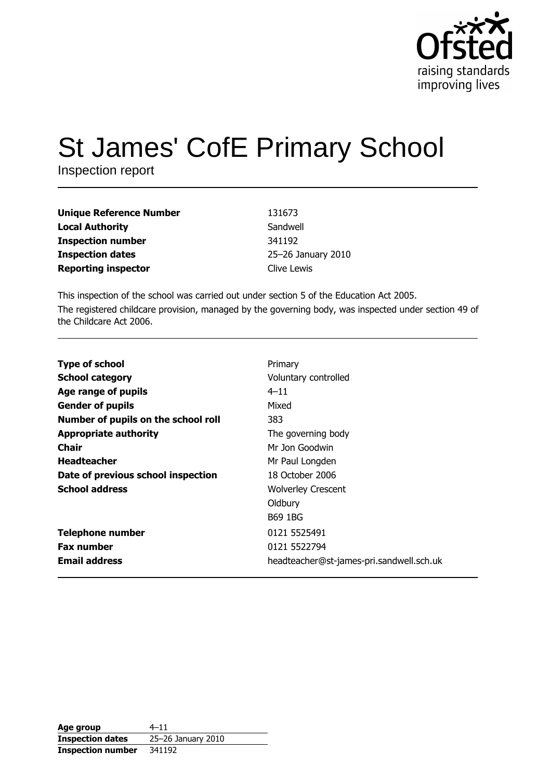

# **St James' CofE Primary School**

Inspection report

| <b>Unique Reference Number</b> | 131673             |
|--------------------------------|--------------------|
| <b>Local Authority</b>         | Sandwell           |
| <b>Inspection number</b>       | 341192             |
| <b>Inspection dates</b>        | 25-26 January 2010 |
| <b>Reporting inspector</b>     | Clive Lewis        |

This inspection of the school was carried out under section 5 of the Education Act 2005. The registered childcare provision, managed by the governing body, was inspected under section 49 of the Childcare Act 2006.

| <b>Type of school</b>               | Primary                                  |
|-------------------------------------|------------------------------------------|
| <b>School category</b>              | Voluntary controlled                     |
| Age range of pupils                 | $4 - 11$                                 |
| <b>Gender of pupils</b>             | Mixed                                    |
| Number of pupils on the school roll | 383                                      |
| <b>Appropriate authority</b>        | The governing body                       |
| Chair                               | Mr Jon Goodwin                           |
| <b>Headteacher</b>                  | Mr Paul Longden                          |
| Date of previous school inspection  | 18 October 2006                          |
| <b>School address</b>               | <b>Wolverley Crescent</b>                |
|                                     | Oldbury                                  |
|                                     | <b>B69 1BG</b>                           |
| <b>Telephone number</b>             | 0121 5525491                             |
| <b>Fax number</b>                   | 0121 5522794                             |
| <b>Email address</b>                | headteacher@st-james-pri.sandwell.sch.uk |

| Age group                | $4 - 11$           |
|--------------------------|--------------------|
| <b>Inspection dates</b>  | 25-26 January 2010 |
| <b>Inspection number</b> | 341192             |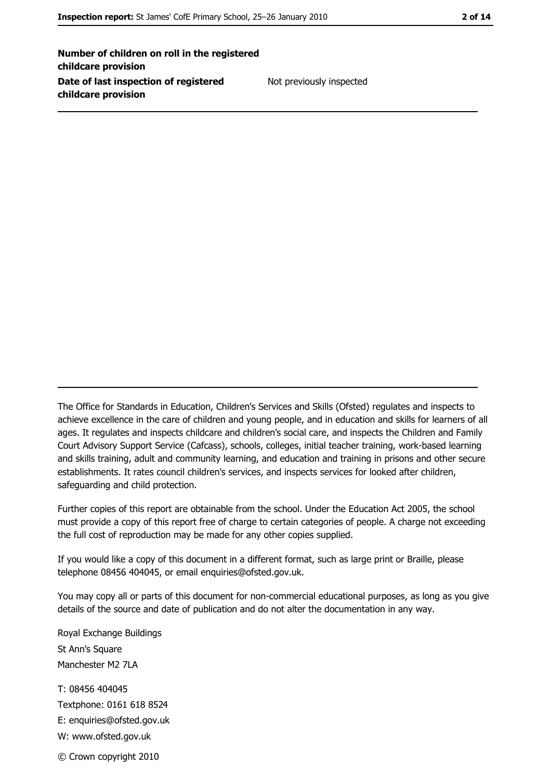Number of children on roll in the registered childcare provision Date of last inspection of registered childcare provision

Not previously inspected

The Office for Standards in Education, Children's Services and Skills (Ofsted) regulates and inspects to achieve excellence in the care of children and young people, and in education and skills for learners of all ages. It regulates and inspects childcare and children's social care, and inspects the Children and Family Court Advisory Support Service (Cafcass), schools, colleges, initial teacher training, work-based learning and skills training, adult and community learning, and education and training in prisons and other secure establishments. It rates council children's services, and inspects services for looked after children, safequarding and child protection.

Further copies of this report are obtainable from the school. Under the Education Act 2005, the school must provide a copy of this report free of charge to certain categories of people. A charge not exceeding the full cost of reproduction may be made for any other copies supplied.

If you would like a copy of this document in a different format, such as large print or Braille, please telephone 08456 404045, or email enquiries@ofsted.gov.uk.

You may copy all or parts of this document for non-commercial educational purposes, as long as you give details of the source and date of publication and do not alter the documentation in any way.

Royal Exchange Buildings St Ann's Square Manchester M2 7LA T: 08456 404045 Textphone: 0161 618 8524 E: enquiries@ofsted.gov.uk W: www.ofsted.gov.uk © Crown copyright 2010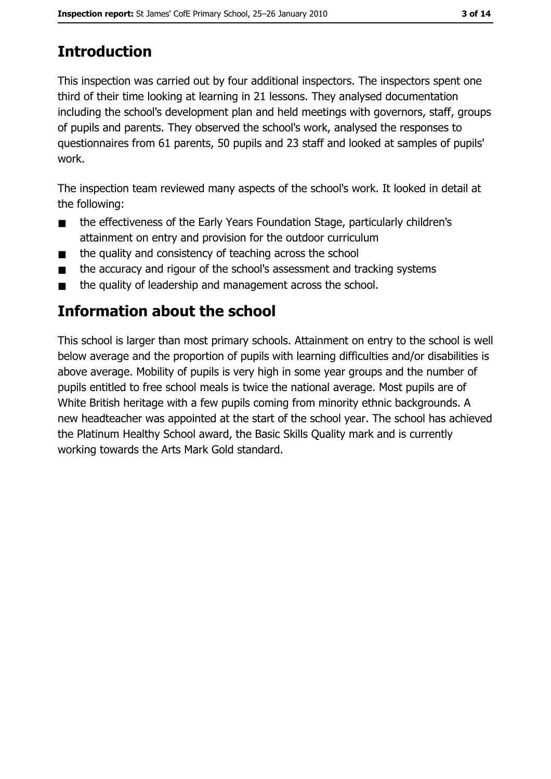# **Introduction**

This inspection was carried out by four additional inspectors. The inspectors spent one third of their time looking at learning in 21 lessons. They analysed documentation including the school's development plan and held meetings with governors, staff, groups of pupils and parents. They observed the school's work, analysed the responses to questionnaires from 61 parents, 50 pupils and 23 staff and looked at samples of pupils' work.

The inspection team reviewed many aspects of the school's work. It looked in detail at the following:

- the effectiveness of the Early Years Foundation Stage, particularly children's  $\blacksquare$ attainment on entry and provision for the outdoor curriculum
- the quality and consistency of teaching across the school  $\blacksquare$
- the accuracy and rigour of the school's assessment and tracking systems  $\blacksquare$
- the quality of leadership and management across the school.  $\blacksquare$

# Information about the school

This school is larger than most primary schools. Attainment on entry to the school is well below average and the proportion of pupils with learning difficulties and/or disabilities is above average. Mobility of pupils is very high in some year groups and the number of pupils entitled to free school meals is twice the national average. Most pupils are of White British heritage with a few pupils coming from minority ethnic backgrounds. A new headteacher was appointed at the start of the school year. The school has achieved the Platinum Healthy School award, the Basic Skills Quality mark and is currently working towards the Arts Mark Gold standard.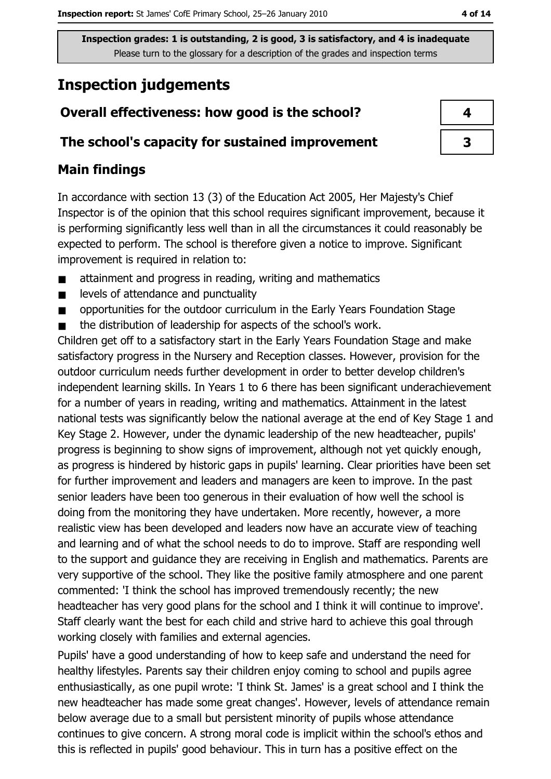## **Inspection judgements**

## Overall effectiveness: how good is the school?

### The school's capacity for sustained improvement

## **Main findings**

In accordance with section 13 (3) of the Education Act 2005, Her Majesty's Chief Inspector is of the opinion that this school requires significant improvement, because it is performing significantly less well than in all the circumstances it could reasonably be expected to perform. The school is therefore given a notice to improve. Significant improvement is required in relation to:

- attainment and progress in reading, writing and mathematics  $\blacksquare$
- levels of attendance and punctuality  $\blacksquare$
- opportunities for the outdoor curriculum in the Early Years Foundation Stage  $\blacksquare$
- the distribution of leadership for aspects of the school's work.  $\blacksquare$

Children get off to a satisfactory start in the Early Years Foundation Stage and make satisfactory progress in the Nursery and Reception classes. However, provision for the outdoor curriculum needs further development in order to better develop children's independent learning skills. In Years 1 to 6 there has been significant underachievement for a number of years in reading, writing and mathematics. Attainment in the latest national tests was significantly below the national average at the end of Key Stage 1 and Key Stage 2. However, under the dynamic leadership of the new headteacher, pupils' progress is beginning to show signs of improvement, although not yet quickly enough, as progress is hindered by historic gaps in pupils' learning. Clear priorities have been set for further improvement and leaders and managers are keen to improve. In the past senior leaders have been too generous in their evaluation of how well the school is doing from the monitoring they have undertaken. More recently, however, a more realistic view has been developed and leaders now have an accurate view of teaching and learning and of what the school needs to do to improve. Staff are responding well to the support and guidance they are receiving in English and mathematics. Parents are very supportive of the school. They like the positive family atmosphere and one parent commented: 'I think the school has improved tremendously recently; the new headteacher has very good plans for the school and I think it will continue to improve'. Staff clearly want the best for each child and strive hard to achieve this goal through working closely with families and external agencies.

Pupils' have a good understanding of how to keep safe and understand the need for healthy lifestyles. Parents say their children enjoy coming to school and pupils agree enthusiastically, as one pupil wrote: 'I think St. James' is a great school and I think the new headteacher has made some great changes'. However, levels of attendance remain below average due to a small but persistent minority of pupils whose attendance continues to give concern. A strong moral code is implicit within the school's ethos and this is reflected in pupils' good behaviour. This in turn has a positive effect on the

| 4 |
|---|
| З |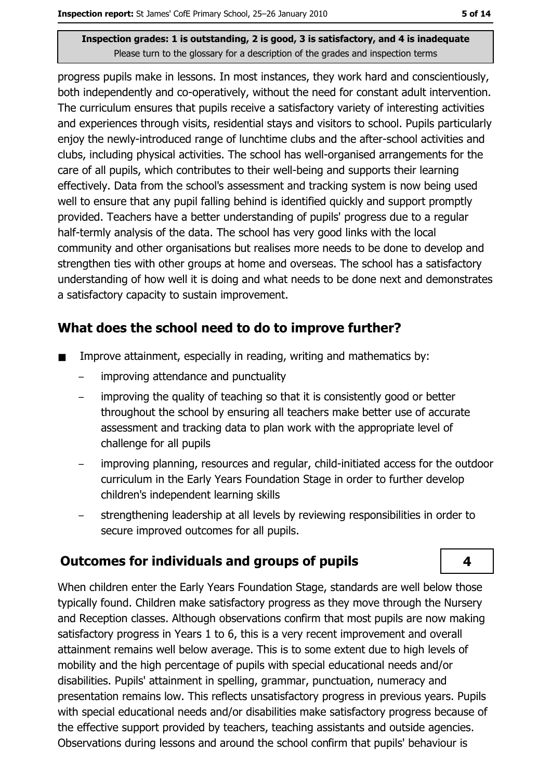progress pupils make in lessons. In most instances, they work hard and conscientiously, both independently and co-operatively, without the need for constant adult intervention. The curriculum ensures that pupils receive a satisfactory variety of interesting activities and experiences through visits, residential stays and visitors to school. Pupils particularly enjoy the newly-introduced range of lunchtime clubs and the after-school activities and clubs, including physical activities. The school has well-organised arrangements for the care of all pupils, which contributes to their well-being and supports their learning effectively. Data from the school's assessment and tracking system is now being used well to ensure that any pupil falling behind is identified quickly and support promptly provided. Teachers have a better understanding of pupils' progress due to a regular half-termly analysis of the data. The school has very good links with the local community and other organisations but realises more needs to be done to develop and strengthen ties with other groups at home and overseas. The school has a satisfactory understanding of how well it is doing and what needs to be done next and demonstrates a satisfactory capacity to sustain improvement.

## What does the school need to do to improve further?

- Improve attainment, especially in reading, writing and mathematics by:  $\blacksquare$ 
	- improving attendance and punctuality  $\overline{a}$
	- improving the quality of teaching so that it is consistently good or better  $\overline{a}$ throughout the school by ensuring all teachers make better use of accurate assessment and tracking data to plan work with the appropriate level of challenge for all pupils
	- improving planning, resources and regular, child-initiated access for the outdoor curriculum in the Early Years Foundation Stage in order to further develop children's independent learning skills
	- strengthening leadership at all levels by reviewing responsibilities in order to secure improved outcomes for all pupils.

## **Outcomes for individuals and groups of pupils**

When children enter the Early Years Foundation Stage, standards are well below those typically found. Children make satisfactory progress as they move through the Nursery and Reception classes. Although observations confirm that most pupils are now making satisfactory progress in Years 1 to 6, this is a very recent improvement and overall attainment remains well below average. This is to some extent due to high levels of mobility and the high percentage of pupils with special educational needs and/or disabilities. Pupils' attainment in spelling, grammar, punctuation, numeracy and presentation remains low. This reflects unsatisfactory progress in previous years. Pupils with special educational needs and/or disabilities make satisfactory progress because of the effective support provided by teachers, teaching assistants and outside agencies. Observations during lessons and around the school confirm that pupils' behaviour is

4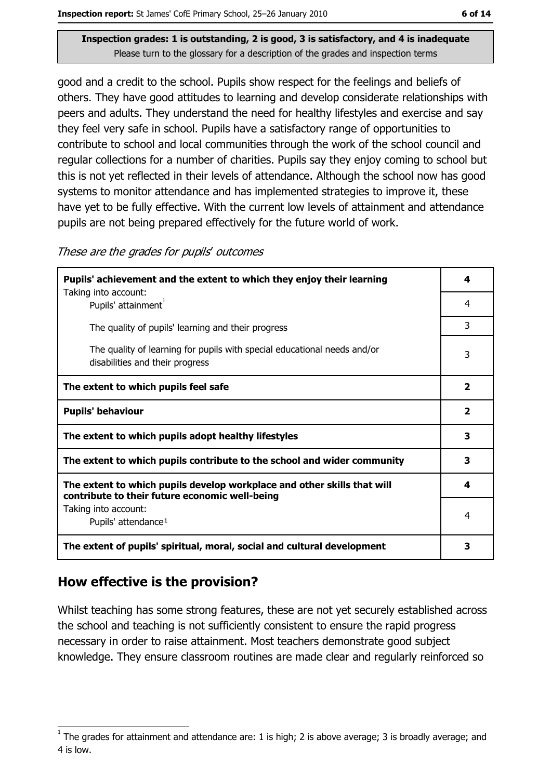good and a credit to the school. Pupils show respect for the feelings and beliefs of others. They have good attitudes to learning and develop considerate relationships with peers and adults. They understand the need for healthy lifestyles and exercise and say they feel very safe in school. Pupils have a satisfactory range of opportunities to contribute to school and local communities through the work of the school council and regular collections for a number of charities. Pupils say they enjoy coming to school but this is not yet reflected in their levels of attendance. Although the school now has good systems to monitor attendance and has implemented strategies to improve it, these have yet to be fully effective. With the current low levels of attainment and attendance pupils are not being prepared effectively for the future world of work.

| Pupils' achievement and the extent to which they enjoy their learning                                                     |   |  |
|---------------------------------------------------------------------------------------------------------------------------|---|--|
| Taking into account:<br>Pupils' attainment                                                                                | 4 |  |
| The quality of pupils' learning and their progress                                                                        | 3 |  |
| The quality of learning for pupils with special educational needs and/or<br>disabilities and their progress               | 3 |  |
| The extent to which pupils feel safe                                                                                      |   |  |
| <b>Pupils' behaviour</b>                                                                                                  |   |  |
| The extent to which pupils adopt healthy lifestyles                                                                       |   |  |
| The extent to which pupils contribute to the school and wider community                                                   |   |  |
| The extent to which pupils develop workplace and other skills that will<br>contribute to their future economic well-being |   |  |
| Taking into account:<br>Pupils' attendance <sup>1</sup>                                                                   | 4 |  |
| The extent of pupils' spiritual, moral, social and cultural development                                                   |   |  |

These are the grades for pupils' outcomes

## How effective is the provision?

Whilst teaching has some strong features, these are not yet securely established across the school and teaching is not sufficiently consistent to ensure the rapid progress necessary in order to raise attainment. Most teachers demonstrate good subject knowledge. They ensure classroom routines are made clear and regularly reinforced so

The grades for attainment and attendance are: 1 is high; 2 is above average; 3 is broadly average; and 4 is low.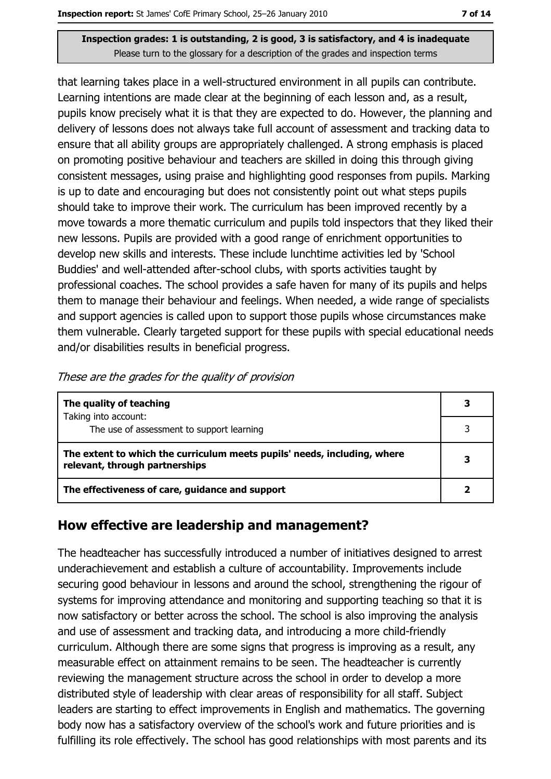that learning takes place in a well-structured environment in all pupils can contribute. Learning intentions are made clear at the beginning of each lesson and, as a result, pupils know precisely what it is that they are expected to do. However, the planning and delivery of lessons does not always take full account of assessment and tracking data to ensure that all ability groups are appropriately challenged. A strong emphasis is placed on promoting positive behaviour and teachers are skilled in doing this through giving consistent messages, using praise and highlighting good responses from pupils. Marking is up to date and encouraging but does not consistently point out what steps pupils should take to improve their work. The curriculum has been improved recently by a move towards a more thematic curriculum and pupils told inspectors that they liked their new lessons. Pupils are provided with a good range of enrichment opportunities to develop new skills and interests. These include lunchtime activities led by 'School Buddies' and well-attended after-school clubs, with sports activities taught by professional coaches. The school provides a safe haven for many of its pupils and helps them to manage their behaviour and feelings. When needed, a wide range of specialists and support agencies is called upon to support those pupils whose circumstances make them vulnerable. Clearly targeted support for these pupils with special educational needs and/or disabilities results in beneficial progress.

|  | These are the grades for the quality of provision |  |  |
|--|---------------------------------------------------|--|--|
|  |                                                   |  |  |

| The quality of teaching                                                                                    | 3 |
|------------------------------------------------------------------------------------------------------------|---|
| Taking into account:<br>The use of assessment to support learning                                          |   |
| The extent to which the curriculum meets pupils' needs, including, where<br>relevant, through partnerships |   |
| The effectiveness of care, guidance and support                                                            |   |

## How effective are leadership and management?

The headteacher has successfully introduced a number of initiatives designed to arrest underachievement and establish a culture of accountability. Improvements include securing good behaviour in lessons and around the school, strengthening the rigour of systems for improving attendance and monitoring and supporting teaching so that it is now satisfactory or better across the school. The school is also improving the analysis and use of assessment and tracking data, and introducing a more child-friendly curriculum. Although there are some signs that progress is improving as a result, any measurable effect on attainment remains to be seen. The headteacher is currently reviewing the management structure across the school in order to develop a more distributed style of leadership with clear areas of responsibility for all staff. Subject leaders are starting to effect improvements in English and mathematics. The governing body now has a satisfactory overview of the school's work and future priorities and is fulfilling its role effectively. The school has good relationships with most parents and its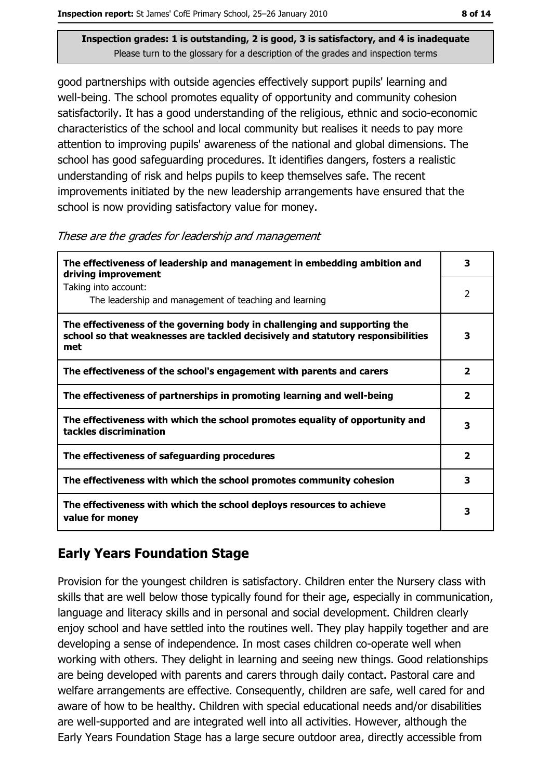good partnerships with outside agencies effectively support pupils' learning and well-being. The school promotes equality of opportunity and community cohesion satisfactorily. It has a good understanding of the religious, ethnic and socio-economic characteristics of the school and local community but realises it needs to pay more attention to improving pupils' awareness of the national and global dimensions. The school has good safeguarding procedures. It identifies dangers, fosters a realistic understanding of risk and helps pupils to keep themselves safe. The recent improvements initiated by the new leadership arrangements have ensured that the school is now providing satisfactory value for money.

These are the grades for leadership and management

| The effectiveness of leadership and management in embedding ambition and<br>driving improvement                                                                     | з                       |
|---------------------------------------------------------------------------------------------------------------------------------------------------------------------|-------------------------|
| Taking into account:<br>The leadership and management of teaching and learning                                                                                      | $\overline{2}$          |
| The effectiveness of the governing body in challenging and supporting the<br>school so that weaknesses are tackled decisively and statutory responsibilities<br>met | 3                       |
| The effectiveness of the school's engagement with parents and carers                                                                                                | $\overline{\mathbf{2}}$ |
| The effectiveness of partnerships in promoting learning and well-being                                                                                              | 2                       |
| The effectiveness with which the school promotes equality of opportunity and<br>tackles discrimination                                                              | 3                       |
| The effectiveness of safeguarding procedures                                                                                                                        | $\overline{\mathbf{2}}$ |
| The effectiveness with which the school promotes community cohesion                                                                                                 | 3                       |
| The effectiveness with which the school deploys resources to achieve<br>value for money                                                                             | 3                       |

## **Early Years Foundation Stage**

Provision for the youngest children is satisfactory. Children enter the Nursery class with skills that are well below those typically found for their age, especially in communication, language and literacy skills and in personal and social development. Children clearly enjoy school and have settled into the routines well. They play happily together and are developing a sense of independence. In most cases children co-operate well when working with others. They delight in learning and seeing new things. Good relationships are being developed with parents and carers through daily contact. Pastoral care and welfare arrangements are effective. Consequently, children are safe, well cared for and aware of how to be healthy. Children with special educational needs and/or disabilities are well-supported and are integrated well into all activities. However, although the Early Years Foundation Stage has a large secure outdoor area, directly accessible from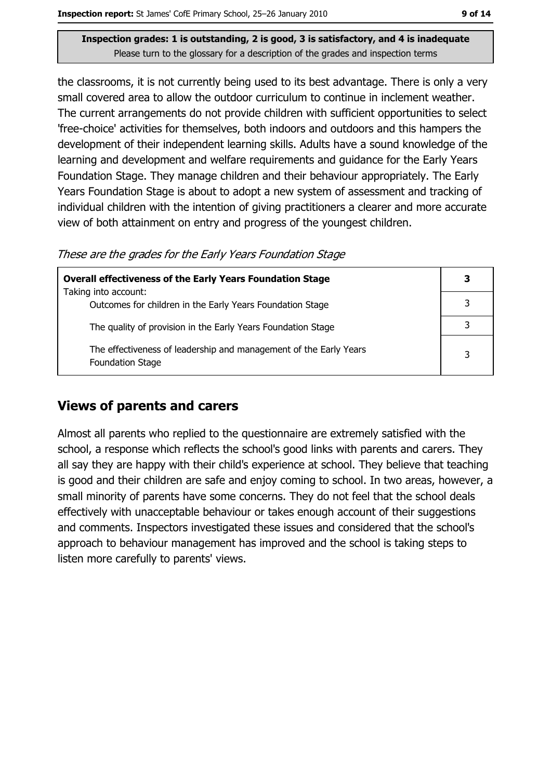the classrooms, it is not currently being used to its best advantage. There is only a very small covered area to allow the outdoor curriculum to continue in inclement weather. The current arrangements do not provide children with sufficient opportunities to select 'free-choice' activities for themselves, both indoors and outdoors and this hampers the development of their independent learning skills. Adults have a sound knowledge of the learning and development and welfare requirements and quidance for the Early Years Foundation Stage. They manage children and their behaviour appropriately. The Early Years Foundation Stage is about to adopt a new system of assessment and tracking of individual children with the intention of giving practitioners a clearer and more accurate view of both attainment on entry and progress of the youngest children.

These are the grades for the Early Years Foundation Stage

| <b>Overall effectiveness of the Early Years Foundation Stage</b>                             |   |  |
|----------------------------------------------------------------------------------------------|---|--|
| Taking into account:                                                                         |   |  |
| Outcomes for children in the Early Years Foundation Stage                                    |   |  |
| The quality of provision in the Early Years Foundation Stage                                 |   |  |
| The effectiveness of leadership and management of the Early Years<br><b>Foundation Stage</b> | 3 |  |

## **Views of parents and carers**

Almost all parents who replied to the questionnaire are extremely satisfied with the school, a response which reflects the school's good links with parents and carers. They all say they are happy with their child's experience at school. They believe that teaching is good and their children are safe and enjoy coming to school. In two areas, however, a small minority of parents have some concerns. They do not feel that the school deals effectively with unacceptable behaviour or takes enough account of their suggestions and comments. Inspectors investigated these issues and considered that the school's approach to behaviour management has improved and the school is taking steps to listen more carefully to parents' views.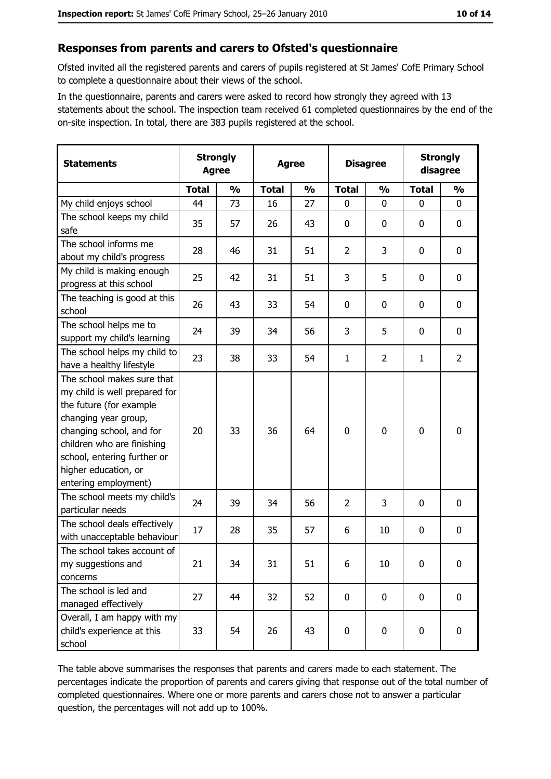#### Responses from parents and carers to Ofsted's questionnaire

Ofsted invited all the registered parents and carers of pupils registered at St James' CofE Primary School to complete a questionnaire about their views of the school.

In the questionnaire, parents and carers were asked to record how strongly they agreed with 13 statements about the school. The inspection team received 61 completed questionnaires by the end of the on-site inspection. In total, there are 383 pupils registered at the school.

| <b>Statements</b>                                                                                                                                                                                                                                       |              | <b>Strongly</b><br><b>Strongly</b><br><b>Disagree</b><br><b>Agree</b><br>disagree<br><b>Agree</b> |              |               |                |                |              |                |
|---------------------------------------------------------------------------------------------------------------------------------------------------------------------------------------------------------------------------------------------------------|--------------|---------------------------------------------------------------------------------------------------|--------------|---------------|----------------|----------------|--------------|----------------|
|                                                                                                                                                                                                                                                         | <b>Total</b> | $\frac{0}{0}$                                                                                     | <b>Total</b> | $\frac{0}{0}$ | <b>Total</b>   | $\frac{0}{0}$  | <b>Total</b> | $\frac{0}{0}$  |
| My child enjoys school                                                                                                                                                                                                                                  | 44           | 73                                                                                                | 16           | 27            | $\mathbf 0$    | 0              | 0            | 0              |
| The school keeps my child<br>safe                                                                                                                                                                                                                       | 35           | 57                                                                                                | 26           | 43            | 0              | 0              | $\mathbf 0$  | 0              |
| The school informs me<br>about my child's progress                                                                                                                                                                                                      | 28           | 46                                                                                                | 31           | 51            | $\overline{2}$ | 3              | 0            | 0              |
| My child is making enough<br>progress at this school                                                                                                                                                                                                    | 25           | 42                                                                                                | 31           | 51            | 3              | 5              | $\mathbf 0$  | 0              |
| The teaching is good at this<br>school                                                                                                                                                                                                                  | 26           | 43                                                                                                | 33           | 54            | $\mathbf 0$    | 0              | $\mathbf 0$  | 0              |
| The school helps me to<br>support my child's learning                                                                                                                                                                                                   | 24           | 39                                                                                                | 34           | 56            | 3              | 5              | 0            | 0              |
| The school helps my child to<br>have a healthy lifestyle                                                                                                                                                                                                | 23           | 38                                                                                                | 33           | 54            | $\mathbf{1}$   | $\overline{2}$ | 1            | $\overline{2}$ |
| The school makes sure that<br>my child is well prepared for<br>the future (for example<br>changing year group,<br>changing school, and for<br>children who are finishing<br>school, entering further or<br>higher education, or<br>entering employment) | 20           | 33                                                                                                | 36           | 64            | $\mathbf 0$    | 0              | 0            | 0              |
| The school meets my child's<br>particular needs                                                                                                                                                                                                         | 24           | 39                                                                                                | 34           | 56            | $\overline{2}$ | 3              | 0            | 0              |
| The school deals effectively<br>with unacceptable behaviour                                                                                                                                                                                             | 17           | 28                                                                                                | 35           | 57            | 6              | 10             | 0            | 0              |
| The school takes account of<br>my suggestions and<br>concerns                                                                                                                                                                                           | 21           | 34                                                                                                | 31           | 51            | 6              | 10             | $\mathbf 0$  | 0              |
| The school is led and<br>managed effectively                                                                                                                                                                                                            | 27           | 44                                                                                                | 32           | 52            | $\mathbf 0$    | 0              | $\bf{0}$     | 0              |
| Overall, I am happy with my<br>child's experience at this<br>school                                                                                                                                                                                     | 33           | 54                                                                                                | 26           | 43            | $\pmb{0}$      | 0              | $\bf{0}$     | 0              |

The table above summarises the responses that parents and carers made to each statement. The percentages indicate the proportion of parents and carers giving that response out of the total number of completed questionnaires. Where one or more parents and carers chose not to answer a particular question, the percentages will not add up to 100%.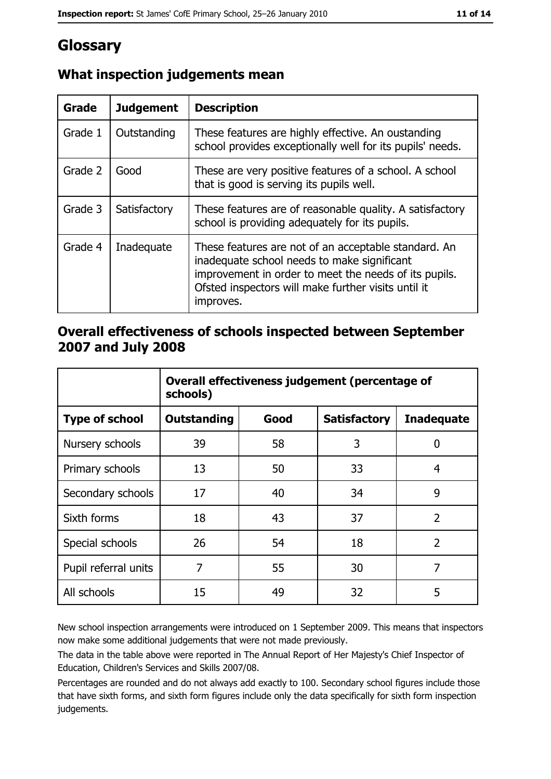# Glossary

| Grade   | <b>Judgement</b> | <b>Description</b>                                                                                                                                                                                                               |
|---------|------------------|----------------------------------------------------------------------------------------------------------------------------------------------------------------------------------------------------------------------------------|
| Grade 1 | Outstanding      | These features are highly effective. An oustanding<br>school provides exceptionally well for its pupils' needs.                                                                                                                  |
| Grade 2 | Good             | These are very positive features of a school. A school<br>that is good is serving its pupils well.                                                                                                                               |
| Grade 3 | Satisfactory     | These features are of reasonable quality. A satisfactory<br>school is providing adequately for its pupils.                                                                                                                       |
| Grade 4 | Inadequate       | These features are not of an acceptable standard. An<br>inadequate school needs to make significant<br>improvement in order to meet the needs of its pupils.<br>Ofsted inspectors will make further visits until it<br>improves. |

## What inspection judgements mean

## Overall effectiveness of schools inspected between September 2007 and July 2008

|                       | Overall effectiveness judgement (percentage of<br>schools) |      |                     |                   |  |
|-----------------------|------------------------------------------------------------|------|---------------------|-------------------|--|
| <b>Type of school</b> | <b>Outstanding</b>                                         | Good | <b>Satisfactory</b> | <b>Inadequate</b> |  |
| Nursery schools       | 39                                                         | 58   | 3                   | 0                 |  |
| Primary schools       | 13                                                         | 50   | 33                  | 4                 |  |
| Secondary schools     | 17                                                         | 40   | 34                  | 9                 |  |
| Sixth forms           | 18                                                         | 43   | 37                  | $\overline{2}$    |  |
| Special schools       | 26                                                         | 54   | 18                  | $\overline{2}$    |  |
| Pupil referral units  | 7                                                          | 55   | 30                  | 7                 |  |
| All schools           | 15                                                         | 49   | 32                  | 5                 |  |

New school inspection arrangements were introduced on 1 September 2009. This means that inspectors now make some additional judgements that were not made previously.

The data in the table above were reported in The Annual Report of Her Majesty's Chief Inspector of Education, Children's Services and Skills 2007/08.

Percentages are rounded and do not always add exactly to 100. Secondary school figures include those that have sixth forms, and sixth form figures include only the data specifically for sixth form inspection judgements.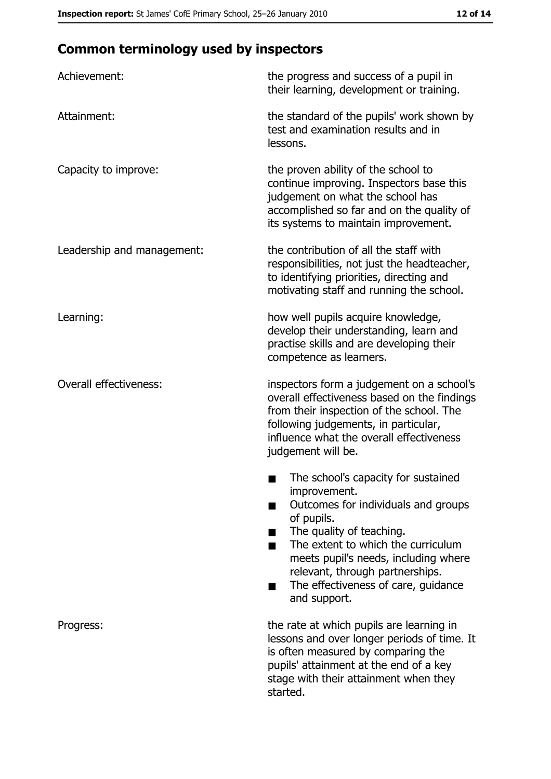# **Common terminology used by inspectors**

| Achievement:                  | the progress and success of a pupil in<br>their learning, development or training.                                                                                                                                                                                                                           |
|-------------------------------|--------------------------------------------------------------------------------------------------------------------------------------------------------------------------------------------------------------------------------------------------------------------------------------------------------------|
| Attainment:                   | the standard of the pupils' work shown by<br>test and examination results and in<br>lessons.                                                                                                                                                                                                                 |
| Capacity to improve:          | the proven ability of the school to<br>continue improving. Inspectors base this<br>judgement on what the school has<br>accomplished so far and on the quality of<br>its systems to maintain improvement.                                                                                                     |
| Leadership and management:    | the contribution of all the staff with<br>responsibilities, not just the headteacher,<br>to identifying priorities, directing and<br>motivating staff and running the school.                                                                                                                                |
| Learning:                     | how well pupils acquire knowledge,<br>develop their understanding, learn and<br>practise skills and are developing their<br>competence as learners.                                                                                                                                                          |
| <b>Overall effectiveness:</b> | inspectors form a judgement on a school's<br>overall effectiveness based on the findings<br>from their inspection of the school. The<br>following judgements, in particular,<br>influence what the overall effectiveness<br>judgement will be.                                                               |
|                               | The school's capacity for sustained<br>improvement.<br>Outcomes for individuals and groups<br>of pupils.<br>The quality of teaching.<br>The extent to which the curriculum<br>meets pupil's needs, including where<br>relevant, through partnerships.<br>The effectiveness of care, guidance<br>and support. |
| Progress:                     | the rate at which pupils are learning in<br>lessons and over longer periods of time. It<br>is often measured by comparing the<br>pupils' attainment at the end of a key<br>stage with their attainment when they<br>started.                                                                                 |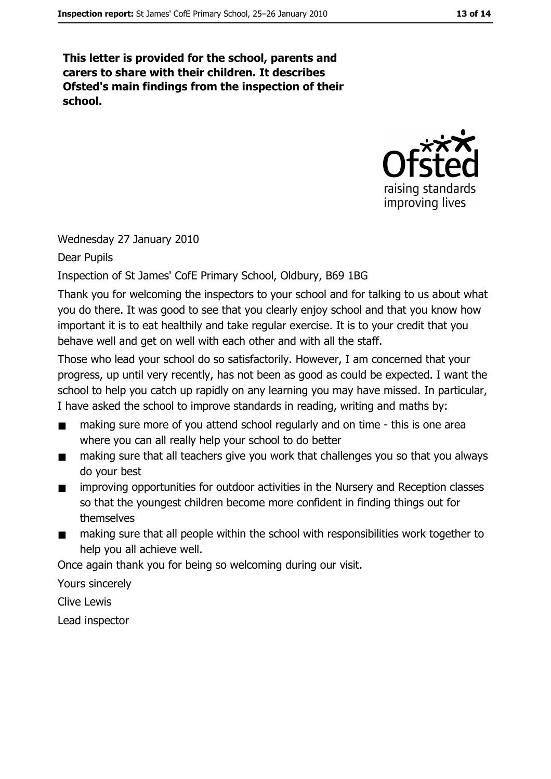This letter is provided for the school, parents and carers to share with their children. It describes Ofsted's main findings from the inspection of their school.



Wednesday 27 January 2010

Dear Pupils

Inspection of St James' CofE Primary School, Oldbury, B69 1BG

Thank you for welcoming the inspectors to your school and for talking to us about what you do there. It was good to see that you clearly enjoy school and that you know how important it is to eat healthily and take regular exercise. It is to your credit that you behave well and get on well with each other and with all the staff.

Those who lead your school do so satisfactorily. However, I am concerned that your progress, up until very recently, has not been as good as could be expected. I want the school to help you catch up rapidly on any learning you may have missed. In particular, I have asked the school to improve standards in reading, writing and maths by:

- making sure more of you attend school regularly and on time this is one area  $\blacksquare$ where you can all really help your school to do better
- making sure that all teachers give you work that challenges you so that you always  $\blacksquare$ do vour best
- improving opportunities for outdoor activities in the Nursery and Reception classes  $\blacksquare$ so that the voungest children become more confident in finding things out for themselves
- making sure that all people within the school with responsibilities work together to  $\blacksquare$ help you all achieve well.

Once again thank you for being so welcoming during our visit.

Yours sincerely

Clive Lewis

Lead inspector